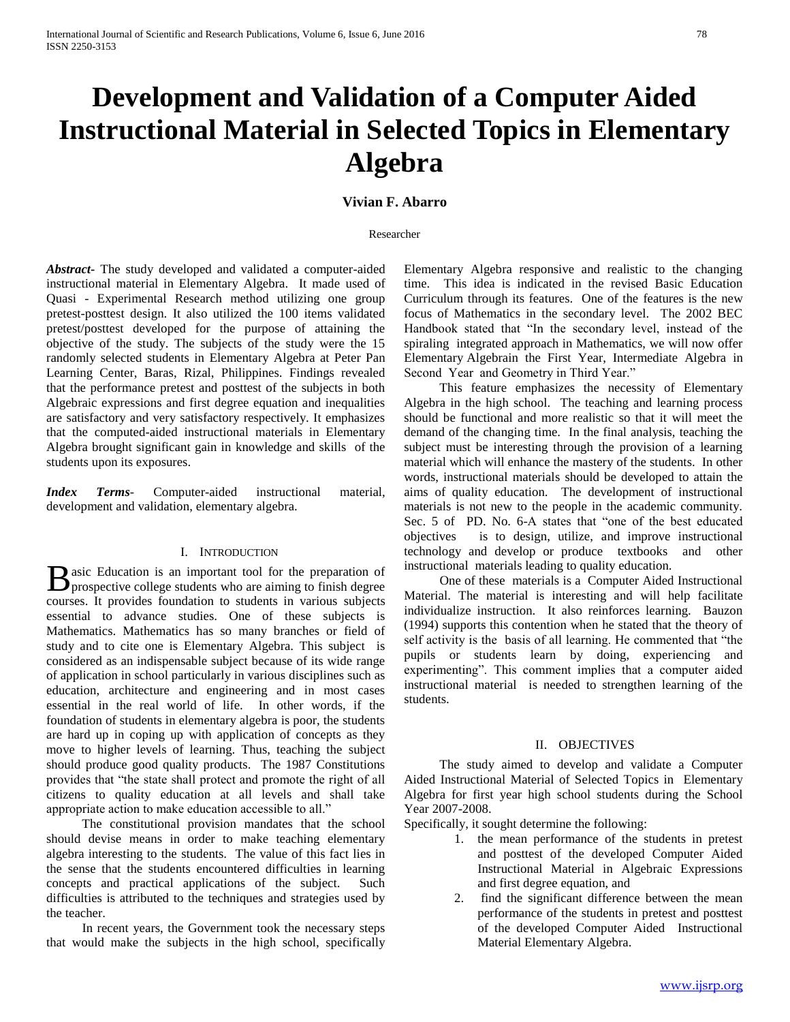# **Development and Validation of a Computer Aided Instructional Material in Selected Topics in Elementary Algebra**

# **Vivian F. Abarro**

#### Researcher

*Abstract***-** The study developed and validated a computer-aided instructional material in Elementary Algebra. It made used of Quasi - Experimental Research method utilizing one group pretest-posttest design. It also utilized the 100 items validated pretest/posttest developed for the purpose of attaining the objective of the study. The subjects of the study were the 15 randomly selected students in Elementary Algebra at Peter Pan Learning Center, Baras, Rizal, Philippines. Findings revealed that the performance pretest and posttest of the subjects in both Algebraic expressions and first degree equation and inequalities are satisfactory and very satisfactory respectively. It emphasizes that the computed-aided instructional materials in Elementary Algebra brought significant gain in knowledge and skills of the students upon its exposures.

*Index Terms*- Computer-aided instructional material, development and validation, elementary algebra.

## I. INTRODUCTION

asic Education is an important tool for the preparation of  $\bf{B}$  asic Education is an important tool for the preparation of prospective college students who are aiming to finish degree courses. It provides foundation to students in various subjects essential to advance studies. One of these subjects is Mathematics. Mathematics has so many branches or field of study and to cite one is Elementary Algebra. This subject is considered as an indispensable subject because of its wide range of application in school particularly in various disciplines such as education, architecture and engineering and in most cases essential in the real world of life. In other words, if the foundation of students in elementary algebra is poor, the students are hard up in coping up with application of concepts as they move to higher levels of learning. Thus, teaching the subject should produce good quality products. The 1987 Constitutions provides that "the state shall protect and promote the right of all citizens to quality education at all levels and shall take appropriate action to make education accessible to all."

 The constitutional provision mandates that the school should devise means in order to make teaching elementary algebra interesting to the students. The value of this fact lies in the sense that the students encountered difficulties in learning concepts and practical applications of the subject. Such difficulties is attributed to the techniques and strategies used by the teacher.

 In recent years, the Government took the necessary steps that would make the subjects in the high school, specifically Elementary Algebra responsive and realistic to the changing time. This idea is indicated in the revised Basic Education Curriculum through its features. One of the features is the new focus of Mathematics in the secondary level. The 2002 BEC Handbook stated that "In the secondary level, instead of the spiraling integrated approach in Mathematics, we will now offer Elementary Algebrain the First Year, Intermediate Algebra in Second Year and Geometry in Third Year."

 This feature emphasizes the necessity of Elementary Algebra in the high school. The teaching and learning process should be functional and more realistic so that it will meet the demand of the changing time. In the final analysis, teaching the subject must be interesting through the provision of a learning material which will enhance the mastery of the students. In other words, instructional materials should be developed to attain the aims of quality education. The development of instructional materials is not new to the people in the academic community. Sec. 5 of PD. No. 6-A states that "one of the best educated objectives is to design, utilize, and improve instructional technology and develop or produce textbooks and other instructional materials leading to quality education.

 One of these materials is a Computer Aided Instructional Material. The material is interesting and will help facilitate individualize instruction. It also reinforces learning. Bauzon (1994) supports this contention when he stated that the theory of self activity is the basis of all learning. He commented that "the pupils or students learn by doing, experiencing and experimenting". This comment implies that a computer aided instructional material is needed to strengthen learning of the students.

## II. OBJECTIVES

 The study aimed to develop and validate a Computer Aided Instructional Material of Selected Topics in Elementary Algebra for first year high school students during the School Year 2007-2008.

Specifically, it sought determine the following:

- 1. the mean performance of the students in pretest and posttest of the developed Computer Aided Instructional Material in Algebraic Expressions and first degree equation, and
- 2. find the significant difference between the mean performance of the students in pretest and posttest of the developed Computer Aided Instructional Material Elementary Algebra.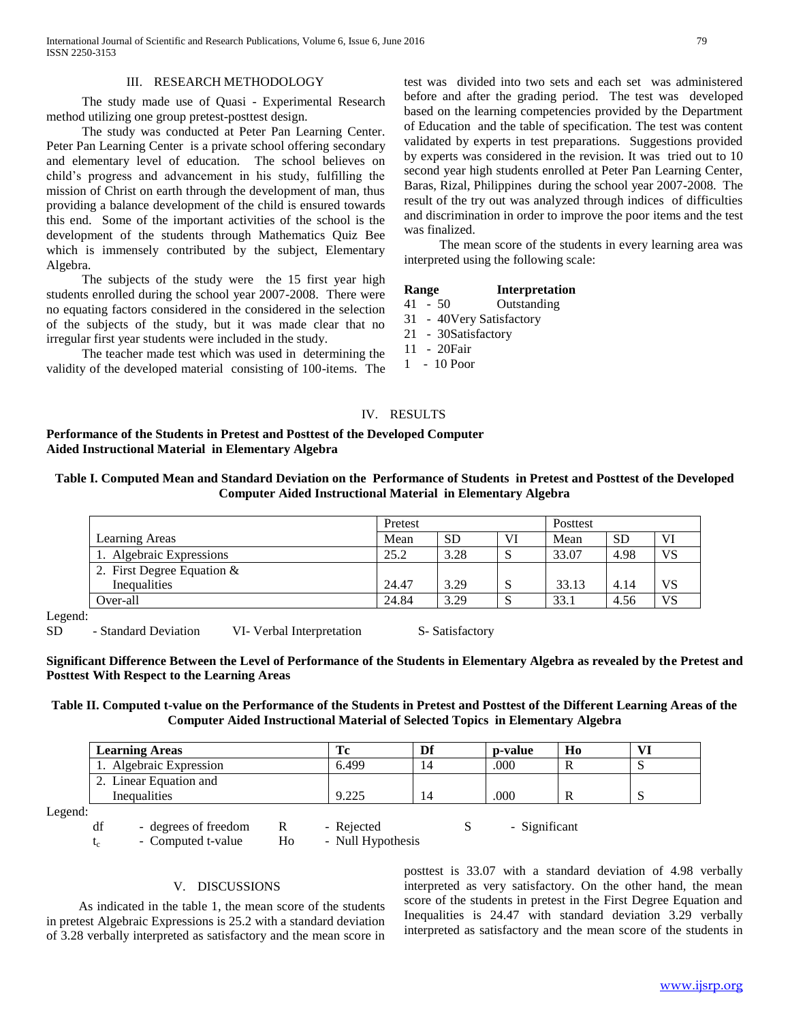## III. RESEARCH METHODOLOGY

 The study made use of Quasi - Experimental Research method utilizing one group pretest-posttest design.

 The study was conducted at Peter Pan Learning Center. Peter Pan Learning Center is a private school offering secondary and elementary level of education. The school believes on child's progress and advancement in his study, fulfilling the mission of Christ on earth through the development of man, thus providing a balance development of the child is ensured towards this end. Some of the important activities of the school is the development of the students through Mathematics Quiz Bee which is immensely contributed by the subject, Elementary Algebra.

 The subjects of the study were the 15 first year high students enrolled during the school year 2007-2008. There were no equating factors considered in the considered in the selection of the subjects of the study, but it was made clear that no irregular first year students were included in the study.

 The teacher made test which was used in determining the validity of the developed material consisting of 100-items. The test was divided into two sets and each set was administered before and after the grading period. The test was developed based on the learning competencies provided by the Department of Education and the table of specification. The test was content validated by experts in test preparations. Suggestions provided by experts was considered in the revision. It was tried out to 10 second year high students enrolled at Peter Pan Learning Center, Baras, Rizal, Philippines during the school year 2007-2008. The result of the try out was analyzed through indices of difficulties and discrimination in order to improve the poor items and the test was finalized.

 The mean score of the students in every learning area was interpreted using the following scale:

| Range | <b>Interpretation</b> |
|-------|-----------------------|
|-------|-----------------------|

- 41 50 Outstanding
- 31 40Very Satisfactory
- 21 30Satisfactory
- 11 20Fair
- 1 10 Poor

# IV. RESULTS

# **Performance of the Students in Pretest and Posttest of the Developed Computer Aided Instructional Material in Elementary Algebra**

| Table I. Computed Mean and Standard Deviation on the Performance of Students in Pretest and Posttest of the Developed |  |  |  |  |  |  |
|-----------------------------------------------------------------------------------------------------------------------|--|--|--|--|--|--|
| <b>Computer Aided Instructional Material in Elementary Algebra</b>                                                    |  |  |  |  |  |  |

|                              | Pretest |           |         |       | <b>Posttest</b> |           |  |  |
|------------------------------|---------|-----------|---------|-------|-----------------|-----------|--|--|
| Learning Areas               | Mean    | <b>SD</b> | VI      | Mean  | <b>SD</b>       |           |  |  |
| 1. Algebraic Expressions     | 25.2    | 3.28      | ື       | 33.07 | 4.98            | <b>VS</b> |  |  |
| 2. First Degree Equation $&$ |         |           |         |       |                 |           |  |  |
| Inequalities                 | 24.47   | 3.29      | C<br>A. | 33.13 | 4.14            | VS        |  |  |
| Over-all                     | 24.84   | 3.29      |         | 33.1  | 4.56            | VS.       |  |  |
| . ا،                         |         |           |         |       |                 |           |  |  |

Legend:

SD - Standard Deviation VI- Verbal Interpretation S- Satisfactory

**Significant Difference Between the Level of Performance of the Students in Elementary Algebra as revealed by the Pretest and Posttest With Respect to the Learning Areas**

**Table II. Computed t-value on the Performance of the Students in Pretest and Posttest of the Different Learning Areas of the Computer Aided Instructional Material of Selected Topics in Elementary Algebra**

| <b>Learning Areas</b>  |                      | Df | p-value | H <sub>0</sub> | VI  |
|------------------------|----------------------|----|---------|----------------|-----|
| Algebraic Expression   | 6.499                | 14 | .000    |                | ື   |
| 2. Linear Equation and |                      |    |         |                |     |
| Inequalities           | 0.225<br>ے سکتا ہے : | 14 | 000     |                | . . |

Legend:

df - degrees of freedom R - Rejected S - Significant

 $t_c$  - Computed t-value Ho - Null Hypothesis

V. DISCUSSIONS

 As indicated in the table 1, the mean score of the students in pretest Algebraic Expressions is 25.2 with a standard deviation of 3.28 verbally interpreted as satisfactory and the mean score in posttest is 33.07 with a standard deviation of 4.98 verbally interpreted as very satisfactory. On the other hand, the mean score of the students in pretest in the First Degree Equation and Inequalities is 24.47 with standard deviation 3.29 verbally interpreted as satisfactory and the mean score of the students in